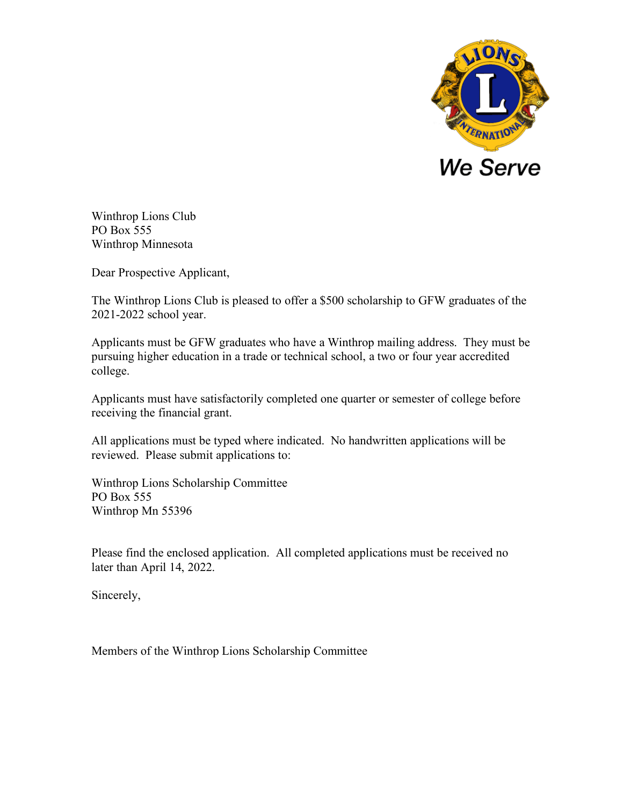

Winthrop Lions Club PO Box 555 Winthrop Minnesota

Dear Prospective Applicant,

The Winthrop Lions Club is pleased to offer a \$500 scholarship to GFW graduates of the 2021-2022 school year.

Applicants must be GFW graduates who have a Winthrop mailing address. They must be pursuing higher education in a trade or technical school, a two or four year accredited college.

Applicants must have satisfactorily completed one quarter or semester of college before receiving the financial grant.

All applications must be typed where indicated. No handwritten applications will be reviewed. Please submit applications to:

Winthrop Lions Scholarship Committee PO Box 555 Winthrop Mn 55396

Please find the enclosed application. All completed applications must be received no later than April 14, 2022.

Sincerely,

Members of the Winthrop Lions Scholarship Committee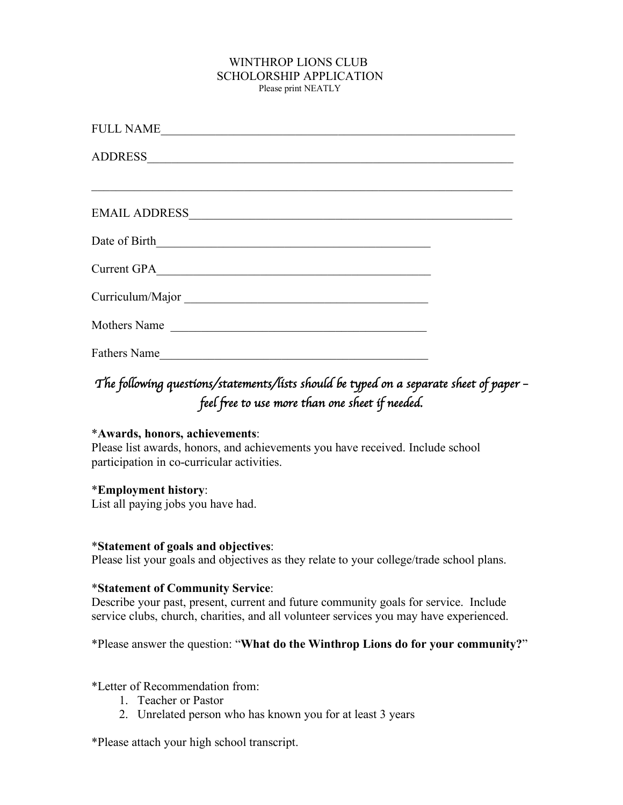# WINTHROP LIONS CLUB SCHOLORSHIP APPLICATION<br>Please print NEATLY

| <b>FULL NAME</b>    |  |
|---------------------|--|
|                     |  |
|                     |  |
|                     |  |
| Date of Birth       |  |
| Current GPA         |  |
| Curriculum/Major    |  |
| Mothers Name        |  |
| <b>Fathers Name</b> |  |

## The following questions/statements/lists should be typed on a separate sheet of paper *feel free to use more than one sheet if needed.*

#### \***Awards, honors, achievements**:

Please list awards, honors, and achievements you have received. Include school participation in co-curricular activities.

#### \***Employment history**:

List all paying jobs you have had.

#### \***Statement of goals and objectives**:

Please list your goals and objectives as they relate to your college/trade school plans.

#### \***Statement of Community Service**:

Describe your past, present, current and future community goals for service. Include service clubs, church, charities, and all volunteer services you may have experienced.

\*Please answer the question: "**What do the Winthrop Lions do for your community?**"

\*Letter of Recommendation from:

- 1. Teacher or Pastor
- 2. Unrelated person who has known you for at least 3 years

\*Please attach your high school transcript.